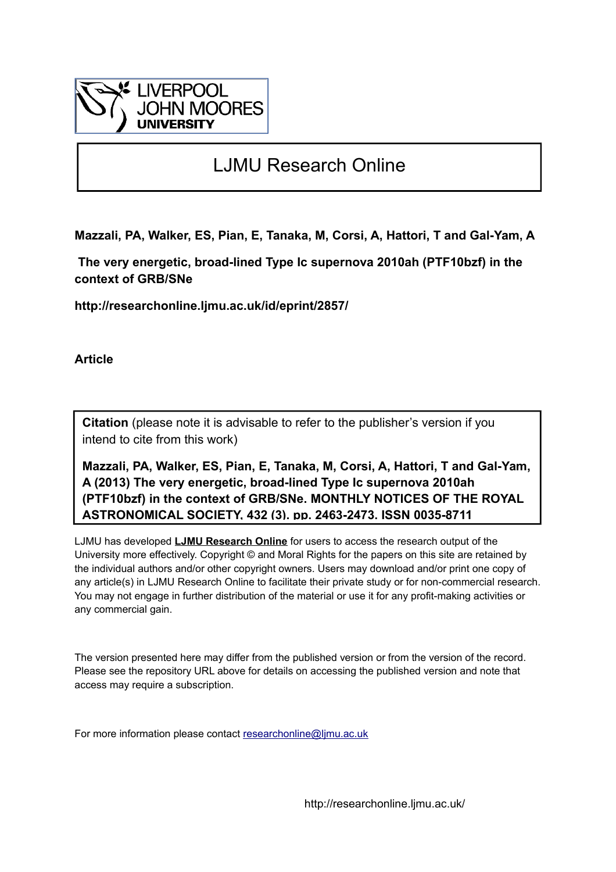

# LJMU Research Online

**Mazzali, PA, Walker, ES, Pian, E, Tanaka, M, Corsi, A, Hattori, T and Gal-Yam, A**

 **The very energetic, broad-lined Type Ic supernova 2010ah (PTF10bzf) in the context of GRB/SNe**

**http://researchonline.ljmu.ac.uk/id/eprint/2857/**

**Article**

**Citation** (please note it is advisable to refer to the publisher's version if you intend to cite from this work)

**Mazzali, PA, Walker, ES, Pian, E, Tanaka, M, Corsi, A, Hattori, T and Gal-Yam, A (2013) The very energetic, broad-lined Type Ic supernova 2010ah (PTF10bzf) in the context of GRB/SNe. MONTHLY NOTICES OF THE ROYAL ASTRONOMICAL SOCIETY, 432 (3). pp. 2463-2473. ISSN 0035-8711** 

LJMU has developed **[LJMU Research Online](http://researchonline.ljmu.ac.uk/)** for users to access the research output of the University more effectively. Copyright © and Moral Rights for the papers on this site are retained by the individual authors and/or other copyright owners. Users may download and/or print one copy of any article(s) in LJMU Research Online to facilitate their private study or for non-commercial research. You may not engage in further distribution of the material or use it for any profit-making activities or any commercial gain.

The version presented here may differ from the published version or from the version of the record. Please see the repository URL above for details on accessing the published version and note that access may require a subscription.

For more information please contact [researchonline@ljmu.ac.uk](mailto:researchonline@ljmu.ac.uk)

http://researchonline.ljmu.ac.uk/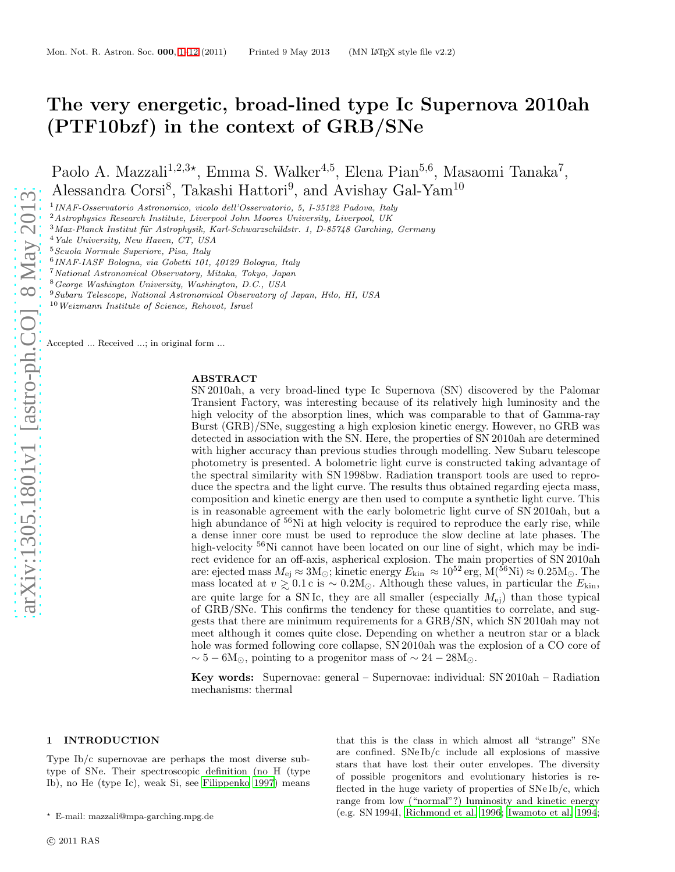## The very energetic, broad-lined type Ic Supernova 2010ah (PTF10bzf) in the context of GRB/SNe

Paolo A. Mazzali<sup>1,2,3\*</sup>, Emma S. Walker<sup>4,5</sup>, Elena Pian<sup>5,6</sup>, Masaomi Tanaka<sup>7</sup>, Alessandra Corsi<sup>8</sup>, Takashi Hattori<sup>9</sup>, and Avishay Gal-Yam<sup>10</sup>

1 INAF-Osservatorio Astronomico, vicolo dell'Osservatorio, 5, I-35122 Padova, Italy

<sup>2</sup>Astrophysics Research Institute, Liverpool John Moores University, Liverpool, UK

 $3$ Max-Planck Institut für Astrophysik, Karl-Schwarzschildstr. 1, D-85748 Garching, Germany

<sup>4</sup>Yale University, New Haven, CT, USA

<sup>5</sup>Scuola Normale Superiore, Pisa, Italy

<sup>7</sup>National Astronomical Observatory, Mitaka, Tokyo, Japan

<sup>8</sup>George Washington University, Washington, D.C., USA

<sup>9</sup>Subaru Telescope, National Astronomical Observatory of Japan, Hilo, HI, USA

<sup>10</sup>Weizmann Institute of Science, Rehovot, Israel

Accepted ... Received ...; in original form ...

## ABSTRACT

SN 2010ah, a very broad-lined type Ic Supernova (SN) discovered by the Palomar Transient Factory, was interesting because of its relatively high luminosity and the high velocity of the absorption lines, which was comparable to that of Gamma-ray Burst (GRB)/SNe, suggesting a high explosion kinetic energy. However, no GRB was detected in association with the SN. Here, the properties of SN 2010ah are determined with higher accuracy than previous studies through modelling. New Subaru telescope photometry is presented. A bolometric light curve is constructed taking advantage of the spectral similarity with SN 1998bw. Radiation transport tools are used to reproduce the spectra and the light curve. The results thus obtained regarding ejecta mass, composition and kinetic energy are then used to compute a synthetic light curve. This is in reasonable agreement with the early bolometric light curve of SN 2010ah, but a high abundance of <sup>56</sup>Ni at high velocity is required to reproduce the early rise, while a dense inner core must be used to reproduce the slow decline at late phases. The high-velocity <sup>56</sup>Ni cannot have been located on our line of sight, which may be indirect evidence for an off-axis, aspherical explosion. The main properties of SN 2010ah are: ejected mass  $M_{\rm ej} \approx 3{\rm M}_{\odot}$ ; kinetic energy  $E_{\rm kin} \approx 10^{52}\,{\rm erg}, \dot{\rm M}({}^{56}{\rm Ni}) \approx 0.25{\rm M}_{\odot}$ . The mass located at  $v \gtrsim 0.1 \text{ c is } \sim 0.2 \text{M}_{\odot}$ . Although these values, in particular the  $E_{\text{kin}}$ , are quite large for a SN Ic, they are all smaller (especially  $M_{\rm ei}$ ) than those typical of GRB/SNe. This confirms the tendency for these quantities to correlate, and suggests that there are minimum requirements for a GRB/SN, which SN 2010ah may not meet although it comes quite close. Depending on whether a neutron star or a black hole was formed following core collapse, SN 2010ah was the explosion of a CO core of  $\sim 5 - 6M_{\odot}$ , pointing to a progenitor mass of  $\sim 24 - 28M_{\odot}$ .

Key words: Supernovae: general – Supernovae: individual: SN 2010ah – Radiation mechanisms: thermal

#### <span id="page-1-0"></span>1 INTRODUCTION

Type Ib/c supernovae are perhaps the most diverse subtype of SNe. Their spectroscopic definition (no H (type Ib), no He (type Ic), weak Si, see [Filippenko 1997\)](#page-11-0) means that this is the class in which almost all "strange" SNe are confined. SNe Ib/c include all explosions of massive stars that have lost their outer envelopes. The diversity of possible progenitors and evolutionary histories is reflected in the huge variety of properties of SNe Ib/c, which range from low ("normal"?) luminosity and kinetic energy (e.g. SN 1994I, [Richmond et al. 1996](#page-12-0); [Iwamoto et al. 1994](#page-11-1);

<sup>6</sup> INAF-IASF Bologna, via Gobetti 101, 40129 Bologna, Italy

<sup>⋆</sup> E-mail: mazzali@mpa-garching.mpg.de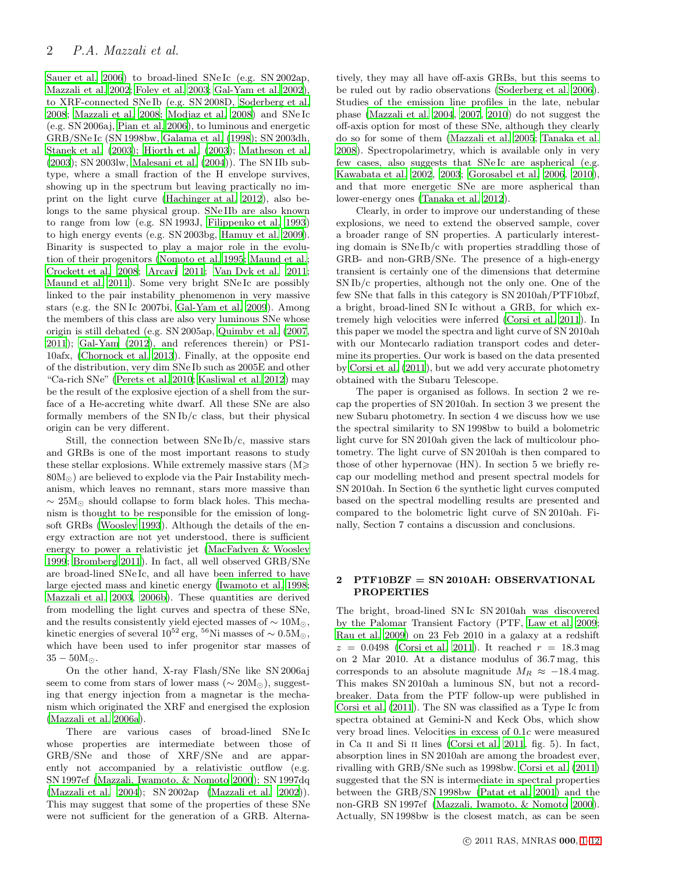[Sauer et al. 2006](#page-12-1)) to broad-lined SNe Ic (e.g. SN 2002ap, [Mazzali et al. 2002;](#page-11-2) [Foley et al. 2003](#page-11-3); [Gal-Yam et al. 2002](#page-11-4)), to XRF-connected SNe Ib (e.g. SN 2008D, [Soderberg et al.](#page-12-2) [2008](#page-12-2); [Mazzali et al. 2008](#page-12-3); [Modjaz et al. 2008](#page-12-4)) and SNe Ic (e.g. SN 2006aj, [Pian et al. 2006\)](#page-12-5), to luminous and energetic GRB/SNe Ic (SN 1998bw, [Galama et al. \(1998](#page-11-5)); SN 2003dh, [Stanek et al. \(2003\)](#page-12-6); [Hjorth et al. \(2003](#page-11-6)); [Matheson et al.](#page-11-7) [\(2003](#page-11-7)); SN 2003lw, [Malesani et al. \(2004](#page-11-8))). The SN IIb subtype, where a small fraction of the H envelope survives, showing up in the spectrum but leaving practically no imprint on the light curve [\(Hachinger at al. 2012\)](#page-11-9), also belongs to the same physical group. SNe IIb are also known to range from low (e.g. SN 1993J, [Filippenko et al. 1993](#page-11-10)) to high energy events (e.g. SN 2003bg, [Hamuy et al. 2009](#page-11-11)). Binarity is suspected to play a major role in the evolution of their progenitors [\(Nomoto et al. 1995](#page-12-7); [Maund et al.;](#page-11-12) [Crockett et al. 2008](#page-11-13); [Arcavi 2011](#page-11-14); [Van Dyk et al. 2011;](#page-12-8) [Maund et al. 2011\)](#page-11-15). Some very bright SNe Ic are possibly linked to the pair instability phenomenon in very massive stars (e.g. the SN Ic 2007bi, [Gal-Yam et al. 2009](#page-11-16)). Among the members of this class are also very luminous SNe whose origin is still debated (e.g. SN 2005ap, [Quimby et al. \(2007,](#page-12-9) [2011](#page-12-10)); [Gal-Yam \(2012](#page-11-17)), and references therein) or PS1- 10afx, [\(Chornock et al. 2013\)](#page-11-18). Finally, at the opposite end of the distribution, very dim SNe Ib such as 2005E and other "Ca-rich SNe" [\(Perets et al. 2010;](#page-12-11) [Kasliwal et al. 2012](#page-11-19)) may be the result of the explosive ejection of a shell from the surface of a He-accreting white dwarf. All these SNe are also formally members of the SN Ib/c class, but their physical origin can be very different.

Still, the connection between  $SNe Ib/c$ , massive stars and GRBs is one of the most important reasons to study these stellar explosions. While extremely massive stars  $(M \geq$  $80M_{\odot}$ ) are believed to explode via the Pair Instability mechanism, which leaves no remnant, stars more massive than  $\sim 25M_{\odot}$  should collapse to form black holes. This mechanism is thought to be responsible for the emission of longsoft GRBs [\(Woosley 1993](#page-12-12)). Although the details of the energy extraction are not yet understood, there is sufficient energy to power a relativistic jet [\(MacFadyen & Woosley](#page-11-20) [1999](#page-11-20); [Bromberg 2011\)](#page-11-21). In fact, all well observed GRB/SNe are broad-lined SNe Ic, and all have been inferred to have large ejected mass and kinetic energy [\(Iwamoto et al. 1998;](#page-11-22) [Mazzali et al. 2003,](#page-11-23) [2006b\)](#page-11-24). These quantities are derived from modelling the light curves and spectra of these SNe, and the results consistently yield ejected masses of  $\sim 10M_{\odot}$ , kinetic energies of several  $10^{52}$  erg,  $^{56}$ Ni masses of ~  $0.5M_{\odot}$ , which have been used to infer progenitor star masses of  $35 - 50M_{\odot}$ .

On the other hand, X-ray Flash/SNe like SN 2006aj seem to come from stars of lower mass ( $\sim 20M_{\odot}$ ), suggesting that energy injection from a magnetar is the mechanism which originated the XRF and energised the explosion [\(Mazzali et al. 2006a](#page-11-25)).

There are various cases of broad-lined SNe Ic whose properties are intermediate between those of GRB/SNe and those of XRF/SNe and are apparently not accompanied by a relativistic outflow (e.g. SN 1997ef [\(Mazzali, Iwamoto, & Nomoto 2000](#page-11-26)); SN 1997dq [\(Mazzali et al. 2004\)](#page-11-27); SN 2002ap [\(Mazzali et al. 2002](#page-11-2))). This may suggest that some of the properties of these SNe were not sufficient for the generation of a GRB. Alternatively, they may all have off-axis GRBs, but this seems to be ruled out by radio observations [\(Soderberg et al. 2006](#page-12-13)). Studies of the emission line profiles in the late, nebular phase [\(Mazzali et al. 2004](#page-11-27), [2007](#page-12-14), [2010\)](#page-12-15) do not suggest the off-axis option for most of these SNe, although they clearly do so for some of them [\(Mazzali et al. 2005](#page-11-28); [Tanaka et al.](#page-12-16) [2008](#page-12-16)). Spectropolarimetry, which is available only in very few cases, also suggests that SNe Ic are aspherical (e.g. [Kawabata et al. 2002](#page-11-29), [2003;](#page-11-30) [Gorosabel et al. 2006](#page-11-31), [2010](#page-11-32)), and that more energetic SNe are more aspherical than lower-energy ones [\(Tanaka et al. 2012](#page-12-17)).

Clearly, in order to improve our understanding of these explosions, we need to extend the observed sample, cover a broader range of SN properties. A particularly interesting domain is SNe Ib/c with properties straddling those of GRB- and non-GRB/SNe. The presence of a high-energy transient is certainly one of the dimensions that determine SN Ib/c properties, although not the only one. One of the few SNe that falls in this category is SN 2010ah/PTF10bzf, a bright, broad-lined SN Ic without a GRB, for which extremely high velocities were inferred [\(Corsi et al. 2011](#page-11-33)). In this paper we model the spectra and light curve of SN 2010ah with our Montecarlo radiation transport codes and determine its properties. Our work is based on the data presented by [Corsi et al. \(2011](#page-11-33)), but we add very accurate photometry obtained with the Subaru Telescope.

The paper is organised as follows. In section 2 we recap the properties of SN 2010ah. In section 3 we present the new Subaru photometry. In section 4 we discuss how we use the spectral similarity to SN 1998bw to build a bolometric light curve for SN 2010ah given the lack of multicolour photometry. The light curve of SN 2010ah is then compared to those of other hypernovae (HN). In section 5 we briefly recap our modelling method and present spectral models for SN 2010ah. In Section 6 the synthetic light curves computed based on the spectral modelling results are presented and compared to the bolometric light curve of SN 2010ah. Finally, Section 7 contains a discussion and conclusions.

## 2 PTF10BZF = SN 2010AH: OBSERVATIONAL PROPERTIES

The bright, broad-lined SN Ic SN 2010ah was discovered by the Palomar Transient Factory (PTF, [Law et al. 2009](#page-11-34); [Rau et al. 2009](#page-12-18)) on 23 Feb 2010 in a galaxy at a redshift  $z = 0.0498$  [\(Corsi et al. 2011](#page-11-33)). It reached  $r = 18.3 \,\text{mag}$ on 2 Mar 2010. At a distance modulus of 36.7 mag, this corresponds to an absolute magnitude  $M_R \approx -18.4$  mag. This makes SN 2010ah a luminous SN, but not a recordbreaker. Data from the PTF follow-up were published in [Corsi et al. \(2011](#page-11-33)). The SN was classified as a Type Ic from spectra obtained at Gemini-N and Keck Obs, which show very broad lines. Velocities in excess of 0.1c were measured in Ca ii and Si ii lines [\(Corsi et al. 2011,](#page-11-33) fig. 5). In fact, absorption lines in SN 2010ah are among the broadest ever, rivalling with GRB/SNe such as 1998bw. [Corsi et al. \(2011](#page-11-33)) suggested that the SN is intermediate in spectral properties between the GRB/SN 1998bw [\(Patat et al. 2001](#page-12-19)) and the non-GRB SN 1997ef [\(Mazzali, Iwamoto, & Nomoto 2000](#page-11-26)). Actually, SN 1998bw is the closest match, as can be seen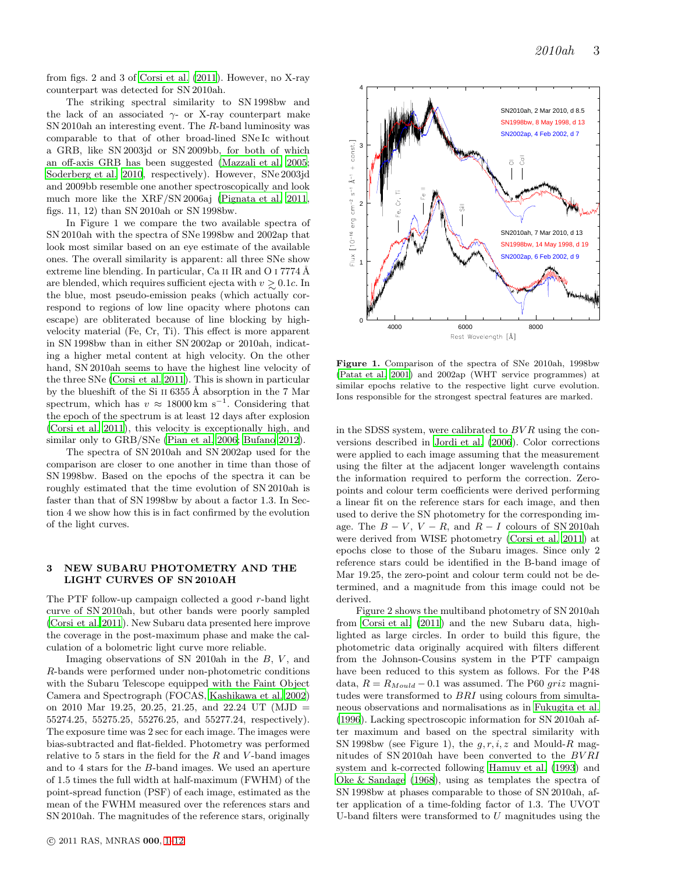from figs. 2 and 3 of [Corsi et al. \(2011](#page-11-33)). However, no X-ray counterpart was detected for SN 2010ah.

The striking spectral similarity to SN 1998bw and the lack of an associated  $\gamma$ - or X-ray counterpart make SN 2010ah an interesting event. The R-band luminosity was comparable to that of other broad-lined SNe Ic without a GRB, like SN 2003jd or SN 2009bb, for both of which an off-axis GRB has been suggested [\(Mazzali et al. 2005;](#page-11-28) [Soderberg et al. 2010](#page-12-20), respectively). However, SNe 2003jd and 2009bb resemble one another spectroscopically and look much more like the XRF/SN 2006aj [\(Pignata et al. 2011,](#page-12-21) figs. 11, 12) than SN 2010ah or SN 1998bw.

In Figure 1 we compare the two available spectra of SN 2010ah with the spectra of SNe 1998bw and 2002ap that look most similar based on an eye estimate of the available ones. The overall similarity is apparent: all three SNe show extreme line blending. In particular, Ca II IR and O I 7774 Å are blended, which requires sufficient ejecta with  $v \gtrsim 0.1c$ . In the blue, most pseudo-emission peaks (which actually correspond to regions of low line opacity where photons can escape) are obliterated because of line blocking by highvelocity material (Fe, Cr, Ti). This effect is more apparent in SN 1998bw than in either SN 2002ap or 2010ah, indicating a higher metal content at high velocity. On the other hand, SN 2010ah seems to have the highest line velocity of the three SNe [\(Corsi et al. 2011](#page-11-33)). This is shown in particular by the blueshift of the Si II  $6355 \text{\AA}$  absorption in the 7 Mar spectrum, which has  $v \approx 18000 \text{ km s}^{-1}$ . Considering that the epoch of the spectrum is at least 12 days after explosion [\(Corsi et al. 2011](#page-11-33)), this velocity is exceptionally high, and similar only to GRB/SNe [\(Pian et al. 2006](#page-12-5); [Bufano 2012](#page-11-35)).

The spectra of SN 2010ah and SN 2002ap used for the comparison are closer to one another in time than those of SN 1998bw. Based on the epochs of the spectra it can be roughly estimated that the time evolution of SN 2010ah is faster than that of SN 1998bw by about a factor 1.3. In Section 4 we show how this is in fact confirmed by the evolution of the light curves.

## 3 NEW SUBARU PHOTOMETRY AND THE LIGHT CURVES OF SN 2010AH

The PTF follow-up campaign collected a good r-band light curve of SN 2010ah, but other bands were poorly sampled [\(Corsi et al. 2011\)](#page-11-33). New Subaru data presented here improve the coverage in the post-maximum phase and make the calculation of a bolometric light curve more reliable.

Imaging observations of SN 2010ah in the  $B, V,$  and R-bands were performed under non-photometric conditions with the Subaru Telescope equipped with the Faint Object Camera and Spectrograph (FOCAS, [Kashikawa et al. 2002](#page-11-36)) on 2010 Mar 19.25, 20.25, 21.25, and 22.24 UT (MJD = 55274.25, 55275.25, 55276.25, and 55277.24, respectively). The exposure time was 2 sec for each image. The images were bias-subtracted and flat-fielded. Photometry was performed relative to 5 stars in the field for the  $R$  and  $V$ -band images and to 4 stars for the B-band images. We used an aperture of 1.5 times the full width at half-maximum (FWHM) of the point-spread function (PSF) of each image, estimated as the mean of the FWHM measured over the references stars and SN 2010ah. The magnitudes of the reference stars, originally



Figure 1. Comparison of the spectra of SNe 2010ah, 1998bw [\(Patat et al. 2001\)](#page-12-19) and 2002ap (WHT service programmes) at similar epochs relative to the respective light curve evolution. Ions responsible for the strongest spectral features are marked.

in the SDSS system, were calibrated to  $BVR$  using the conversions described in [Jordi et al. \(2006](#page-11-37)). Color corrections were applied to each image assuming that the measurement using the filter at the adjacent longer wavelength contains the information required to perform the correction. Zeropoints and colour term coefficients were derived performing a linear fit on the reference stars for each image, and then used to derive the SN photometry for the corresponding image. The  $B - V$ ,  $V - R$ , and  $R - I$  colours of SN 2010ah were derived from WISE photometry [\(Corsi et al. 2011](#page-11-33)) at epochs close to those of the Subaru images. Since only 2 reference stars could be identified in the B-band image of Mar 19.25, the zero-point and colour term could not be determined, and a magnitude from this image could not be derived.

Figure 2 shows the multiband photometry of SN 2010ah from [Corsi et al. \(2011\)](#page-11-33) and the new Subaru data, highlighted as large circles. In order to build this figure, the photometric data originally acquired with filters different from the Johnson-Cousins system in the PTF campaign have been reduced to this system as follows. For the P48 data,  $R = R_{Moul} - 0.1$  was assumed. The P60 griz magnitudes were transformed to BRI using colours from simultaneous observations and normalisations as in [Fukugita et al.](#page-11-38) [\(1996](#page-11-38)). Lacking spectroscopic information for SN 2010ah after maximum and based on the spectral similarity with SN 1998bw (see Figure 1), the  $q, r, i, z$  and Mould-R magnitudes of SN 2010ah have been converted to the BV RI system and k-corrected following [Hamuy et al. \(1993\)](#page-11-39) and [Oke & Sandage \(1968](#page-12-22)), using as templates the spectra of SN 1998bw at phases comparable to those of SN 2010ah, after application of a time-folding factor of 1.3. The UVOT U-band filters were transformed to  $U$  magnitudes using the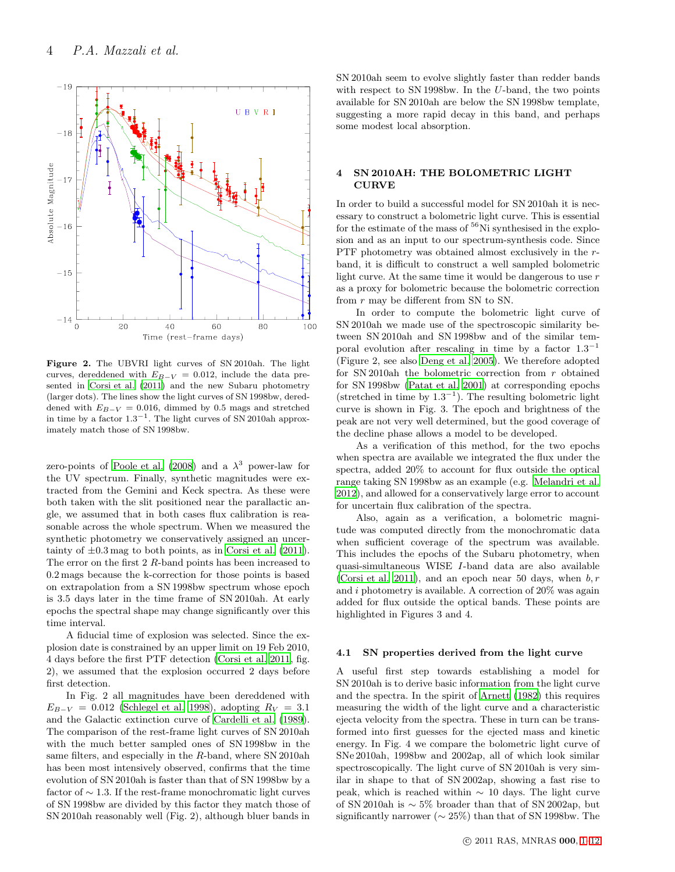

Figure 2. The UBVRI light curves of SN 2010ah. The light curves, dereddened with  $E_{B-V} = 0.012$ , include the data presented in [Corsi et al. \(2011\)](#page-11-33) and the new Subaru photometry (larger dots). The lines show the light curves of SN 1998bw, dereddened with  $E_{B-V} = 0.016$ , dimmed by 0.5 mags and stretched in time by a factor 1.3−<sup>1</sup> . The light curves of SN 2010ah approximately match those of SN 1998bw.

zero-points of [Poole et al. \(2008\)](#page-12-23) and a  $\lambda^3$  power-law for the UV spectrum. Finally, synthetic magnitudes were extracted from the Gemini and Keck spectra. As these were both taken with the slit positioned near the parallactic angle, we assumed that in both cases flux calibration is reasonable across the whole spectrum. When we measured the synthetic photometry we conservatively assigned an uncertainty of  $\pm 0.3$  mag to both points, as in [Corsi et al. \(2011](#page-11-33)). The error on the first 2 R-band points has been increased to 0.2 mags because the k-correction for those points is based on extrapolation from a SN 1998bw spectrum whose epoch is 3.5 days later in the time frame of SN 2010ah. At early epochs the spectral shape may change significantly over this time interval.

A fiducial time of explosion was selected. Since the explosion date is constrained by an upper limit on 19 Feb 2010, 4 days before the first PTF detection [\(Corsi et al. 2011](#page-11-33), fig. 2), we assumed that the explosion occurred 2 days before first detection.

In Fig. 2 all magnitudes have been dereddened with  $E_{B-V} = 0.012$  [\(Schlegel et al. 1998\)](#page-12-24), adopting  $R_V = 3.1$ and the Galactic extinction curve of [Cardelli et al. \(1989](#page-11-40)). The comparison of the rest-frame light curves of SN 2010ah with the much better sampled ones of SN 1998bw in the same filters, and especially in the R-band, where SN 2010ah has been most intensively observed, confirms that the time evolution of SN 2010ah is faster than that of SN 1998bw by a factor of  $\sim$  1.3. If the rest-frame monochromatic light curves of SN 1998bw are divided by this factor they match those of SN 2010ah reasonably well (Fig. 2), although bluer bands in SN 2010ah seem to evolve slightly faster than redder bands with respect to SN 1998bw. In the U-band, the two points available for SN 2010ah are below the SN 1998bw template, suggesting a more rapid decay in this band, and perhaps some modest local absorption.

### 4 SN 2010AH: THE BOLOMETRIC LIGHT CURVE

In order to build a successful model for SN 2010ah it is necessary to construct a bolometric light curve. This is essential for the estimate of the mass of  ${}^{56}$ Ni synthesised in the explosion and as an input to our spectrum-synthesis code. Since PTF photometry was obtained almost exclusively in the rband, it is difficult to construct a well sampled bolometric light curve. At the same time it would be dangerous to use  $r$ as a proxy for bolometric because the bolometric correction from r may be different from SN to SN.

In order to compute the bolometric light curve of SN 2010ah we made use of the spectroscopic similarity between SN 2010ah and SN 1998bw and of the similar temporal evolution after rescaling in time by a factor  $1.3^{-1}$ (Figure 2, see also [Deng et al. 2005\)](#page-11-41). We therefore adopted for SN 2010ah the bolometric correction from  $r$  obtained for SN 1998bw [\(Patat et al. 2001](#page-12-19)) at corresponding epochs (stretched in time by  $1.3^{-1}$ ). The resulting bolometric light curve is shown in Fig. 3. The epoch and brightness of the peak are not very well determined, but the good coverage of the decline phase allows a model to be developed.

As a verification of this method, for the two epochs when spectra are available we integrated the flux under the spectra, added 20% to account for flux outside the optical range taking SN 1998bw as an example (e.g. [Melandri et al.](#page-12-25) [2012](#page-12-25)), and allowed for a conservatively large error to account for uncertain flux calibration of the spectra.

Also, again as a verification, a bolometric magnitude was computed directly from the monochromatic data when sufficient coverage of the spectrum was available. This includes the epochs of the Subaru photometry, when quasi-simultaneous WISE I-band data are also available [\(Corsi et al. 2011\)](#page-11-33), and an epoch near 50 days, when  $b, r$ and i photometry is available. A correction of 20% was again added for flux outside the optical bands. These points are highlighted in Figures 3 and 4.

#### 4.1 SN properties derived from the light curve

A useful first step towards establishing a model for SN 2010ah is to derive basic information from the light curve and the spectra. In the spirit of [Arnett \(1982\)](#page-11-42) this requires measuring the width of the light curve and a characteristic ejecta velocity from the spectra. These in turn can be transformed into first guesses for the ejected mass and kinetic energy. In Fig. 4 we compare the bolometric light curve of SNe 2010ah, 1998bw and 2002ap, all of which look similar spectroscopically. The light curve of SN 2010ah is very similar in shape to that of SN 2002ap, showing a fast rise to peak, which is reached within  $\sim$  10 days. The light curve of SN 2010ah is ∼ 5% broader than that of SN 2002ap, but significantly narrower ( $\sim 25\%$ ) than that of SN 1998bw. The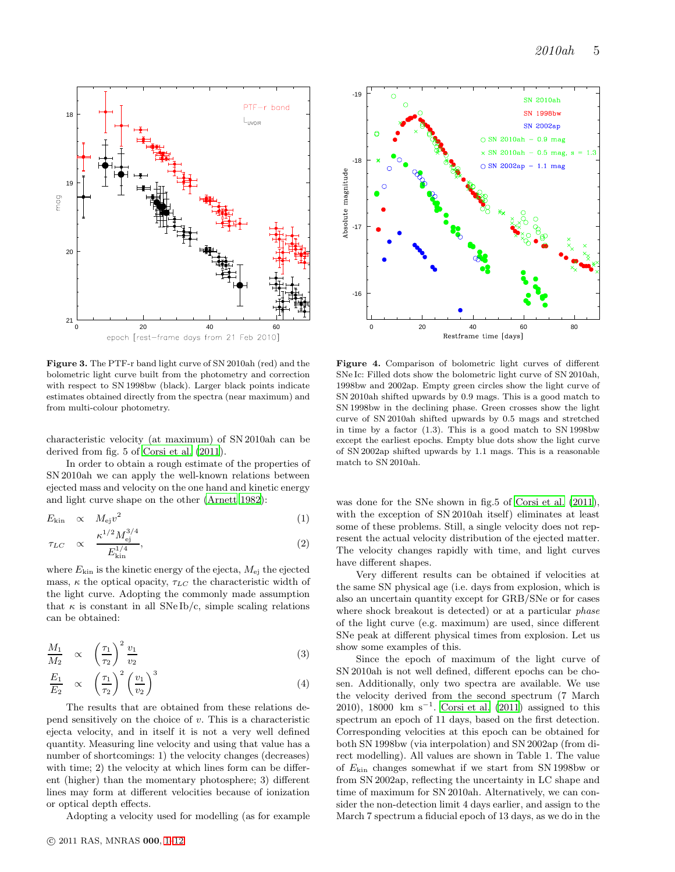

Figure 3. The PTF-r band light curve of SN 2010ah (red) and the bolometric light curve built from the photometry and correction with respect to SN 1998bw (black). Larger black points indicate estimates obtained directly from the spectra (near maximum) and from multi-colour photometry.

characteristic velocity (at maximum) of SN 2010ah can be derived from fig. 5 of [Corsi et al. \(2011](#page-11-33)).

In order to obtain a rough estimate of the properties of SN 2010ah we can apply the well-known relations between ejected mass and velocity on the one hand and kinetic energy and light curve shape on the other [\(Arnett 1982](#page-11-42)):

$$
E_{\rm kin} \quad \propto \quad M_{\rm ej} v^2 \tag{1}
$$

$$
\tau_{LC} \propto \frac{\kappa^{1/2} M_{\text{ej}}^{3/4}}{E_{\text{kin}}^{1/4}},\tag{2}
$$

where  $E_{\text{kin}}$  is the kinetic energy of the ejecta,  $M_{\text{ei}}$  the ejected mass,  $\kappa$  the optical opacity,  $\tau_{LC}$  the characteristic width of the light curve. Adopting the commonly made assumption that  $\kappa$  is constant in all SNe Ib/c, simple scaling relations can be obtained:

$$
\frac{M_1}{M_2} \quad \propto \quad \left(\frac{\tau_1}{\tau_2}\right)^2 \frac{v_1}{v_2} \tag{3}
$$

$$
\frac{E_1}{E_2} \propto \left(\frac{\tau_1}{\tau_2}\right)^2 \left(\frac{v_1}{v_2}\right)^3 \tag{4}
$$

The results that are obtained from these relations depend sensitively on the choice of  $v$ . This is a characteristic ejecta velocity, and in itself it is not a very well defined quantity. Measuring line velocity and using that value has a number of shortcomings: 1) the velocity changes (decreases) with time; 2) the velocity at which lines form can be different (higher) than the momentary photosphere; 3) different lines may form at different velocities because of ionization or optical depth effects.

Adopting a velocity used for modelling (as for example



Figure 4. Comparison of bolometric light curves of different SNe Ic: Filled dots show the bolometric light curve of SN 2010ah, 1998bw and 2002ap. Empty green circles show the light curve of SN 2010ah shifted upwards by 0.9 mags. This is a good match to SN 1998bw in the declining phase. Green crosses show the light curve of SN 2010ah shifted upwards by 0.5 mags and stretched in time by a factor (1.3). This is a good match to SN 1998bw except the earliest epochs. Empty blue dots show the light curve of SN 2002ap shifted upwards by 1.1 mags. This is a reasonable match to SN 2010ah.

was done for the SNe shown in fig.5 of [Corsi et al. \(2011](#page-11-33)), with the exception of SN 2010ah itself) eliminates at least some of these problems. Still, a single velocity does not represent the actual velocity distribution of the ejected matter. The velocity changes rapidly with time, and light curves have different shapes.

Very different results can be obtained if velocities at the same SN physical age (i.e. days from explosion, which is also an uncertain quantity except for GRB/SNe or for cases where shock breakout is detected) or at a particular phase of the light curve (e.g. maximum) are used, since different SNe peak at different physical times from explosion. Let us show some examples of this.

Since the epoch of maximum of the light curve of SN 2010ah is not well defined, different epochs can be chosen. Additionally, only two spectra are available. We use the velocity derived from the second spectrum (7 March 2010), 18000 km s<sup>-1</sup>. [Corsi et al. \(2011](#page-11-33)) assigned to this spectrum an epoch of 11 days, based on the first detection. Corresponding velocities at this epoch can be obtained for both SN 1998bw (via interpolation) and SN 2002ap (from direct modelling). All values are shown in Table 1. The value of Ekin changes somewhat if we start from SN 1998bw or from SN 2002ap, reflecting the uncertainty in LC shape and time of maximum for SN 2010ah. Alternatively, we can consider the non-detection limit 4 days earlier, and assign to the March 7 spectrum a fiducial epoch of 13 days, as we do in the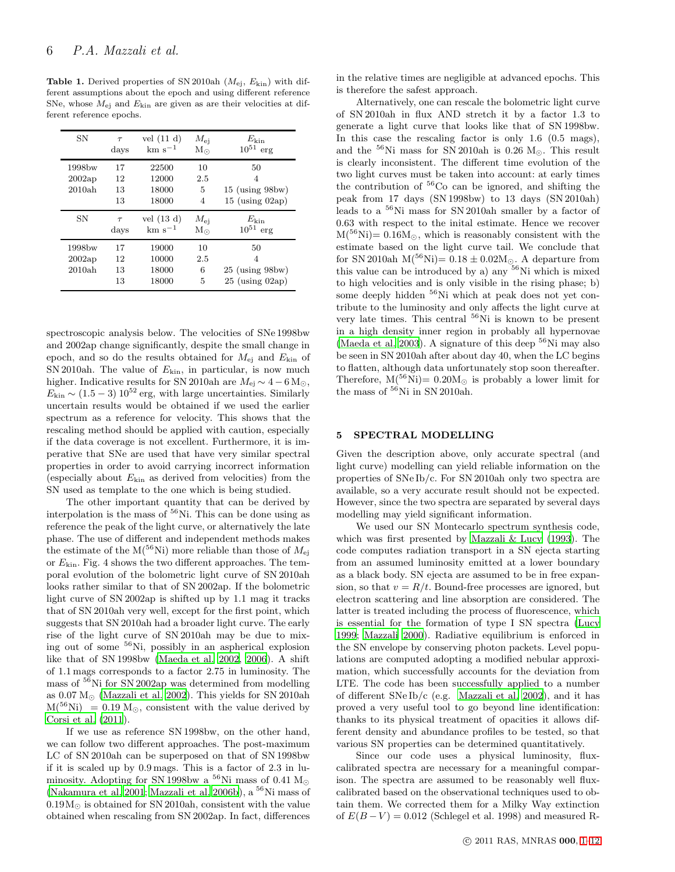**Table 1.** Derived properties of SN 2010ah  $(M_{\rm ei}, E_{\rm kin})$  with different assumptions about the epoch and using different reference SNe, whose  $M_{\rm ei}$  and  $E_{\rm kin}$  are given as are their velocities at different reference epochs.

| SΝ     | $\tau$ | vel $(11 d)$<br>$~\rm km~s^{-1}$ | $M_{\rm ei}$ | $E_{\rm kin}$<br>$10^{51}$ |
|--------|--------|----------------------------------|--------------|----------------------------|
|        | days   |                                  | $M_{\odot}$  | erg                        |
| 1998bw | 17     | 22500                            | 10           | 50                         |
| 2002ap | 12     | 12000                            | 2.5          | 4                          |
| 2010ah | 13     | 18000                            | 5            | $15$ (using 98bw)          |
|        | 13     | 18000                            | 4            | $15$ (using $02ap$ )       |
|        |        |                                  |              |                            |
| SN     | $\tau$ | vel $(13 d)$                     | $M_{\rm ei}$ | $E_{\rm kin}$              |
|        | days   | $~\rm km~s^{-1}$                 | $M_{\odot}$  | $10^{51}$<br>erg           |
| 1998bw | 17     | 19000                            | 10           | 50                         |
| 2002ap | 12     | 10000                            | 2.5          | 4                          |
| 2010ah | 13     | 18000                            | 6            | $25$ (using $98$ bw)       |

spectroscopic analysis below. The velocities of SNe 1998bw and 2002ap change significantly, despite the small change in epoch, and so do the results obtained for  $M_{\rm ej}$  and  $E_{\rm kin}$  of SN 2010ah. The value of  $E_{\text{kin}}$ , in particular, is now much higher. Indicative results for SN 2010ah are  $M_{\rm ej} \sim 4-6{\rm\,M_\odot}$ ,  $E_{\text{kin}} \sim (1.5-3) 10^{52}$  erg, with large uncertainties. Similarly uncertain results would be obtained if we used the earlier spectrum as a reference for velocity. This shows that the rescaling method should be applied with caution, especially if the data coverage is not excellent. Furthermore, it is imperative that SNe are used that have very similar spectral properties in order to avoid carrying incorrect information (especially about  $E_{\text{kin}}$  as derived from velocities) from the SN used as template to the one which is being studied.

The other important quantity that can be derived by interpolation is the mass of  ${}^{56}$ Ni. This can be done using as reference the peak of the light curve, or alternatively the late phase. The use of different and independent methods makes the estimate of the  $M(^{56}Ni)$  more reliable than those of  $M_{ej}$ or  $E_{\text{kin}}$ . Fig. 4 shows the two different approaches. The temporal evolution of the bolometric light curve of SN 2010ah looks rather similar to that of SN 2002ap. If the bolometric light curve of SN 2002ap is shifted up by 1.1 mag it tracks that of SN 2010ah very well, except for the first point, which suggests that SN 2010ah had a broader light curve. The early rise of the light curve of SN 2010ah may be due to mixing out of some <sup>56</sup>Ni, possibly in an aspherical explosion like that of SN 1998bw [\(Maeda et al. 2002,](#page-11-43) [2006](#page-11-44)). A shift of 1.1 mags corresponds to a factor 2.75 in luminosity. The mass of <sup>56</sup>Ni for SN 2002ap was determined from modelling as  $0.07 M_{\odot}$  [\(Mazzali et al. 2002](#page-11-2)). This yields for SN 2010ah  $M<sup>56</sup>Ni$  = 0.19 M<sub>☉</sub>, consistent with the value derived by [Corsi et al. \(2011\)](#page-11-33).

If we use as reference SN 1998bw, on the other hand, we can follow two different approaches. The post-maximum LC of SN 2010ah can be superposed on that of SN 1998bw if it is scaled up by 0.9 mags. This is a factor of 2.3 in luminosity. Adopting for SN 1998bw a  $^{56}$ Ni mass of 0.41 M<sub>☉</sub> [\(Nakamura et al. 2001](#page-12-26); [Mazzali et al. 2006b](#page-11-24)), a  $^{56}$ Ni mass of  $0.19M_{\odot}$  is obtained for SN 2010ah, consistent with the value obtained when rescaling from SN 2002ap. In fact, differences in the relative times are negligible at advanced epochs. This is therefore the safest approach.

Alternatively, one can rescale the bolometric light curve of SN 2010ah in flux AND stretch it by a factor 1.3 to generate a light curve that looks like that of SN 1998bw. In this case the rescaling factor is only 1.6 (0.5 mags), and the  $^{56}{\rm Ni}$  mass for SN 2010ah is 0.26  ${\rm M}_{\odot}.$  This result is clearly inconsistent. The different time evolution of the two light curves must be taken into account: at early times the contribution of  ${}^{56}Co$  can be ignored, and shifting the peak from 17 days (SN 1998bw) to 13 days (SN 2010ah) leads to a <sup>56</sup>Ni mass for SN 2010ah smaller by a factor of 0.63 with respect to the inital estimate. Hence we recover  $M<sup>56</sup>Ni= 0.16M<sub>o</sub>$ , which is reasonably consistent with the estimate based on the light curve tail. We conclude that for SN 2010ah M(<sup>56</sup>Ni)=  $0.18 \pm 0.02M_{\odot}$ . A departure from this value can be introduced by a) any <sup>56</sup>Ni which is mixed to high velocities and is only visible in the rising phase; b) some deeply hidden <sup>56</sup>Ni which at peak does not yet contribute to the luminosity and only affects the light curve at very late times. This central <sup>56</sup>Ni is known to be present in a high density inner region in probably all hypernovae [\(Maeda et al. 2003](#page-11-45)). A signature of this deep  ${}^{56}$ Ni may also be seen in SN 2010ah after about day 40, when the LC begins to flatten, although data unfortunately stop soon thereafter. Therefore,  $M(^{56}Ni)=0.20M_{\odot}$  is probably a lower limit for the mass of  $56$ Ni in SN 2010ah.

#### 5 SPECTRAL MODELLING

Given the description above, only accurate spectral (and light curve) modelling can yield reliable information on the properties of SNe Ib/c. For SN 2010ah only two spectra are available, so a very accurate result should not be expected. However, since the two spectra are separated by several days modelling may yield significant information.

We used our SN Montecarlo spectrum synthesis code, which was first presented by [Mazzali & Lucy \(1993](#page-11-46)). The code computes radiation transport in a SN ejecta starting from an assumed luminosity emitted at a lower boundary as a black body. SN ejecta are assumed to be in free expansion, so that  $v = R/t$ . Bound-free processes are ignored, but electron scattering and line absorption are considered. The latter is treated including the process of fluorescence, which is essential for the formation of type I SN spectra [\(Lucy](#page-11-47) [1999](#page-11-47); [Mazzali 2000](#page-11-48)). Radiative equilibrium is enforced in the SN envelope by conserving photon packets. Level populations are computed adopting a modified nebular approximation, which successfully accounts for the deviation from LTE. The code has been successfully applied to a number of different SNe Ib/c (e.g. [Mazzali et al. 2002\)](#page-11-2), and it has proved a very useful tool to go beyond line identification: thanks to its physical treatment of opacities it allows different density and abundance profiles to be tested, so that various SN properties can be determined quantitatively.

Since our code uses a physical luminosity, fluxcalibrated spectra are necessary for a meaningful comparison. The spectra are assumed to be reasonably well fluxcalibrated based on the observational techniques used to obtain them. We corrected them for a Milky Way extinction of  $E(B-V) = 0.012$  (Schlegel et al. 1998) and measured R-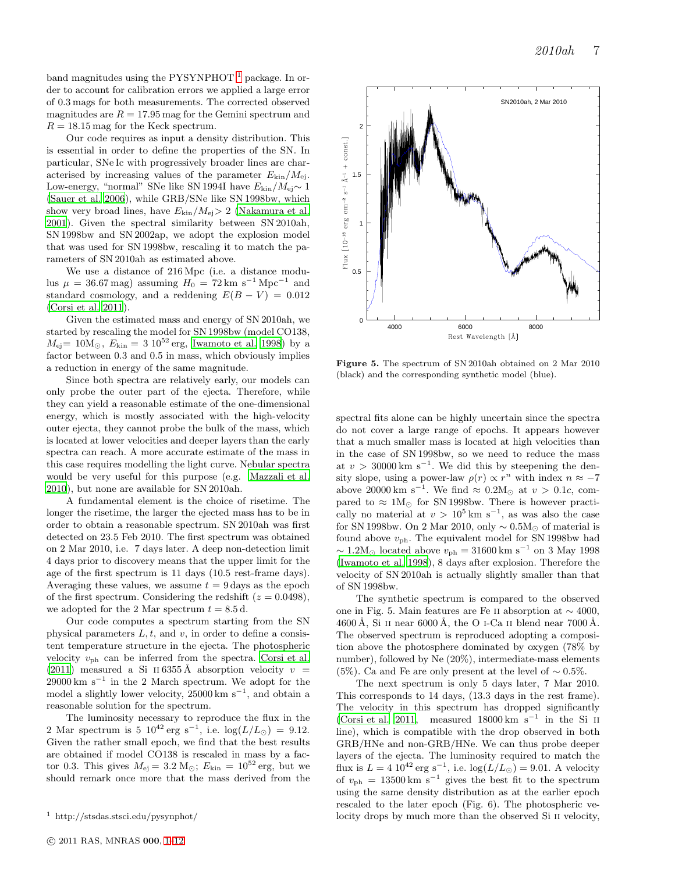band magnitudes using the PYSYNPHOT  $<sup>1</sup>$  $<sup>1</sup>$  $<sup>1</sup>$  package. In or-</sup> der to account for calibration errors we applied a large error of 0.3 mags for both measurements. The corrected observed magnitudes are  $R = 17.95$  mag for the Gemini spectrum and  $R = 18.15$  mag for the Keck spectrum.

Our code requires as input a density distribution. This is essential in order to define the properties of the SN. In particular, SNe Ic with progressively broader lines are characterised by increasing values of the parameter  $E_{\text{kin}}/M_{\text{ej}}$ . Low-energy, "normal" SNe like SN 1994I have  $E_{\rm kin}/M_{\rm ej}$  ∼ 1 [\(Sauer et al. 2006](#page-12-1)), while GRB/SNe like SN 1998bw, which show very broad lines, have  $E_{\rm kin}/M_{\rm ej} > 2$  [\(Nakamura et al.](#page-12-26) [2001](#page-12-26)). Given the spectral similarity between SN 2010ah, SN 1998bw and SN 2002ap, we adopt the explosion model that was used for SN 1998bw, rescaling it to match the parameters of SN 2010ah as estimated above.

We use a distance of 216 Mpc (i.e. a distance modulus  $\mu = 36.67 \text{ mag}$ ) assuming  $H_0 = 72 \text{ km s}^{-1} \text{ Mpc}^{-1}$  and standard cosmology, and a reddening  $E(B - V) = 0.012$ [\(Corsi et al. 2011\)](#page-11-33).

Given the estimated mass and energy of SN 2010ah, we started by rescaling the model for SN 1998bw (model CO138,  $M_{\rm ej}$  = 10 ${\rm M}_{\odot}$ ,  $E_{\rm kin}$  = 3 10<sup>52</sup> erg, [Iwamoto et al. 1998](#page-11-22)) by a factor between 0.3 and 0.5 in mass, which obviously implies a reduction in energy of the same magnitude.

Since both spectra are relatively early, our models can only probe the outer part of the ejecta. Therefore, while they can yield a reasonable estimate of the one-dimensional energy, which is mostly associated with the high-velocity outer ejecta, they cannot probe the bulk of the mass, which is located at lower velocities and deeper layers than the early spectra can reach. A more accurate estimate of the mass in this case requires modelling the light curve. Nebular spectra would be very useful for this purpose (e.g. [Mazzali et al.](#page-12-15) [2010](#page-12-15)), but none are available for SN 2010ah.

A fundamental element is the choice of risetime. The longer the risetime, the larger the ejected mass has to be in order to obtain a reasonable spectrum. SN 2010ah was first detected on 23.5 Feb 2010. The first spectrum was obtained on 2 Mar 2010, i.e. 7 days later. A deep non-detection limit 4 days prior to discovery means that the upper limit for the age of the first spectrum is 11 days (10.5 rest-frame days). Averaging these values, we assume  $t = 9$  days as the epoch of the first spectrum. Considering the redshift  $(z = 0.0498)$ , we adopted for the 2 Mar spectrum  $t = 8.5$  d.

Our code computes a spectrum starting from the SN physical parameters  $L, t$ , and v, in order to define a consistent temperature structure in the ejecta. The photospheric velocity  $v_{\rm ph}$  can be inferred from the spectra. [Corsi et al.](#page-11-33) [\(2011](#page-11-33)) measured a Si II 6355 Å absorption velocity  $v =$  $29000 \text{ km s}^{-1}$  in the 2 March spectrum. We adopt for the model a slightly lower velocity, 25000 km s<sup>−</sup><sup>1</sup> , and obtain a reasonable solution for the spectrum.

The luminosity necessary to reproduce the flux in the 2 Mar spectrum is 5  $10^{42}$  erg s<sup>-1</sup>, i.e.  $\log(L/L_{\odot}) = 9.12$ . Given the rather small epoch, we find that the best results are obtained if model CO138 is rescaled in mass by a factor 0.3. This gives  $M_{\text{ei}} = 3.2 \text{ M}_{\odot}$ ;  $E_{\text{kin}} = 10^{52} \text{ erg}$ , but we should remark once more that the mass derived from the



Figure 5. The spectrum of SN 2010ah obtained on 2 Mar 2010 (black) and the corresponding synthetic model (blue).

spectral fits alone can be highly uncertain since the spectra do not cover a large range of epochs. It appears however that a much smaller mass is located at high velocities than in the case of SN 1998bw, so we need to reduce the mass at  $v > 30000 \text{ km s}^{-1}$ . We did this by steepening the density slope, using a power-law  $\rho(r) \propto r^n$  with index  $n \approx -7$ above 20000 km s<sup>-1</sup>. We find  $\approx 0.2 M_{\odot}$  at  $v > 0.1c$ , compared to  $\approx 1 M_{\odot}$  for SN 1998bw. There is however practically no material at  $v > 10^5$  km s<sup>-1</sup>, as was also the case for SN 1998bw. On 2 Mar 2010, only  $\sim 0.5 M_{\odot}$  of material is found above  $v_{\rm ph}$ . The equivalent model for SN 1998bw had  $\sim 1.2 M_{\odot}$  located above  $v_{\rm ph} = 31600 \, \rm km~s^{-1}$  on 3 May 1998 [\(Iwamoto et al. 1998](#page-11-22)), 8 days after explosion. Therefore the velocity of SN 2010ah is actually slightly smaller than that of SN 1998bw.

The synthetic spectrum is compared to the observed one in Fig. 5. Main features are Fe II absorption at  $\sim$  4000, 4600 Å, Si II near 6000 Å, the O I-Ca II blend near 7000 Å. The observed spectrum is reproduced adopting a composition above the photosphere dominated by oxygen (78% by number), followed by Ne (20%), intermediate-mass elements (5%). Ca and Fe are only present at the level of  $\sim 0.5\%$ .

The next spectrum is only 5 days later, 7 Mar 2010. This corresponds to 14 days, (13.3 days in the rest frame). The velocity in this spectrum has dropped significantly [\(Corsi et al. 2011](#page-11-33), measured 18000 km s<sup>-1</sup> in the Si II line), which is compatible with the drop observed in both GRB/HNe and non-GRB/HNe. We can thus probe deeper layers of the ejecta. The luminosity required to match the flux is  $L = 4 \, 10^{42} \, \text{erg s}^{-1}$ , i.e.  $\log(L/L_{\odot}) = 9.01$ . A velocity of  $v_{\rm ph} = 13500 \,\rm km \ s^{-1}$  gives the best fit to the spectrum using the same density distribution as at the earlier epoch rescaled to the later epoch (Fig. 6). The photospheric velocity drops by much more than the observed Si II velocity,

<span id="page-7-0"></span><sup>1</sup> http://stsdas.stsci.edu/pysynphot/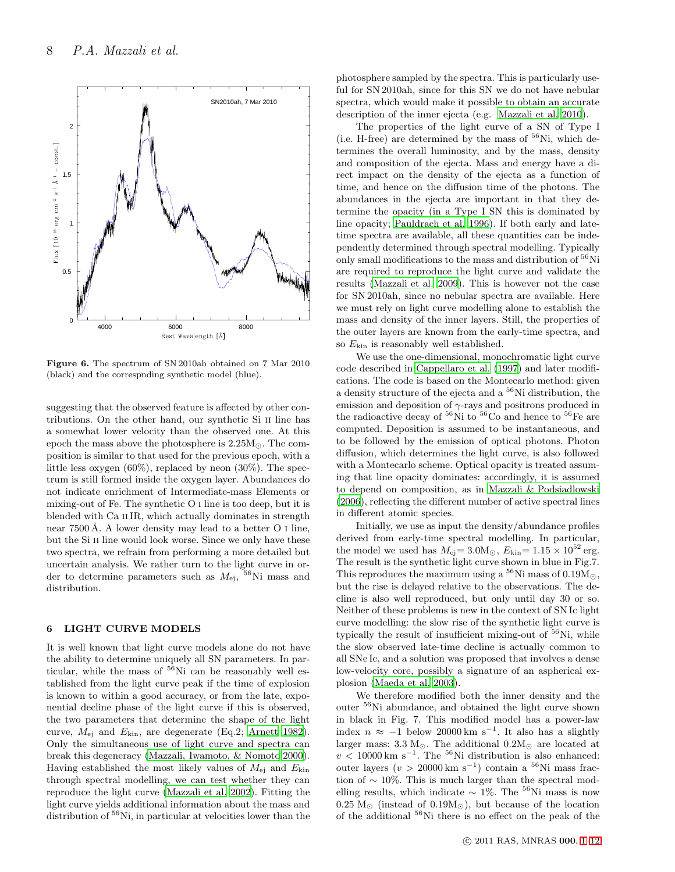

Figure 6. The spectrum of SN 2010ah obtained on 7 Mar 2010 (black) and the correspnding synthetic model (blue).

suggesting that the observed feature is affected by other contributions. On the other hand, our synthetic Si ii line has a somewhat lower velocity than the observed one. At this epoch the mass above the photosphere is  $2.25M_{\odot}$ . The composition is similar to that used for the previous epoch, with a little less oxygen  $(60\%)$ , replaced by neon  $(30\%)$ . The spectrum is still formed inside the oxygen layer. Abundances do not indicate enrichment of Intermediate-mass Elements or mixing-out of Fe. The synthetic O i line is too deep, but it is blended with Ca IIIR, which actually dominates in strength near  $7500 \text{ Å}$ . A lower density may lead to a better O I line, but the Si II line would look worse. Since we only have these two spectra, we refrain from performing a more detailed but uncertain analysis. We rather turn to the light curve in order to determine parameters such as  $M_{\rm ej}$ , <sup>56</sup>Ni mass and distribution.

## 6 LIGHT CURVE MODELS

It is well known that light curve models alone do not have the ability to determine uniquely all SN parameters. In particular, while the mass of  $56$ Ni can be reasonably well established from the light curve peak if the time of explosion is known to within a good accuracy, or from the late, exponential decline phase of the light curve if this is observed, the two parameters that determine the shape of the light curve,  $M_{\text{ei}}$  and  $E_{\text{kin}}$ , are degenerate (Eq.2; [Arnett 1982](#page-11-42)). Only the simultaneous use of light curve and spectra can break this degeneracy [\(Mazzali, Iwamoto, & Nomoto 2000](#page-11-26)). Having established the most likely values of  $M_{\text{ei}}$  and  $E_{\text{kin}}$ through spectral modelling, we can test whether they can reproduce the light curve [\(Mazzali et al. 2002](#page-11-2)). Fitting the light curve yields additional information about the mass and distribution of <sup>56</sup>Ni, in particular at velocities lower than the

photosphere sampled by the spectra. This is particularly useful for SN 2010ah, since for this SN we do not have nebular spectra, which would make it possible to obtain an accurate description of the inner ejecta (e.g. [Mazzali et al. 2010](#page-12-15)).

The properties of the light curve of a SN of Type I (i.e. H-free) are determined by the mass of  $56$ Ni, which determines the overall luminosity, and by the mass, density and composition of the ejecta. Mass and energy have a direct impact on the density of the ejecta as a function of time, and hence on the diffusion time of the photons. The abundances in the ejecta are important in that they determine the opacity (in a Type I SN this is dominated by line opacity; [Pauldrach et al. 1996\)](#page-12-27). If both early and latetime spectra are available, all these quantities can be independently determined through spectral modelling. Typically only small modifications to the mass and distribution of <sup>56</sup>Ni are required to reproduce the light curve and validate the results [\(Mazzali et al. 2009\)](#page-12-28). This is however not the case for SN 2010ah, since no nebular spectra are available. Here we must rely on light curve modelling alone to establish the mass and density of the inner layers. Still, the properties of the outer layers are known from the early-time spectra, and so  $E_{\text{kin}}$  is reasonably well established.

We use the one-dimensional, monochromatic light curve code described in [Cappellaro et al. \(1997](#page-11-49)) and later modifications. The code is based on the Montecarlo method: given a density structure of the ejecta and a  $56$ Ni distribution, the emission and deposition of  $\gamma$ -rays and positrons produced in the radioactive decay of  ${}^{56}$ Ni to  ${}^{56}$ Co and hence to  ${}^{56}$ Fe are computed. Deposition is assumed to be instantaneous, and to be followed by the emission of optical photons. Photon diffusion, which determines the light curve, is also followed with a Montecarlo scheme. Optical opacity is treated assuming that line opacity dominates: accordingly, it is assumed to depend on composition, as in [Mazzali & Podsiadlowski](#page-11-50) [\(2006](#page-11-50)), reflecting the different number of active spectral lines in different atomic species.

Initially, we use as input the density/abundance profiles derived from early-time spectral modelling. In particular, the model we used has  $M_{\text{ej}} = 3.0 \text{M}_{\odot}$ ,  $E_{\text{kin}} = 1.15 \times 10^{52} \text{ erg}$ . The result is the synthetic light curve shown in blue in Fig.7. This reproduces the maximum using a  $^{56}$ Ni mass of 0.19 $\rm M_{\odot},$ but the rise is delayed relative to the observations. The decline is also well reproduced, but only until day 30 or so. Neither of these problems is new in the context of SN Ic light curve modelling: the slow rise of the synthetic light curve is typically the result of insufficient mixing-out of  $56$ Ni, while the slow observed late-time decline is actually common to all SNe Ic, and a solution was proposed that involves a dense low-velocity core, possibly a signature of an aspherical explosion [\(Maeda et al. 2003\)](#page-11-45).

We therefore modified both the inner density and the outer $^{56}{\rm Ni}$  abundance, and obtained the light curve shown in black in Fig. 7. This modified model has a power-law index  $n \approx -1$  below 20000 km s<sup>-1</sup>. It also has a slightly larger mass:  $3.3 M_{\odot}$ . The additional  $0.2 M_{\odot}$  are located at  $v < 10000 \,\mathrm{km \ s}^{-1}$ . The <sup>56</sup>Ni distribution is also enhanced: outer layers  $(v > 20000 \text{ km s}^{-1})$  contain a <sup>56</sup>Ni mass fraction of  $\sim 10\%$ . This is much larger than the spectral modelling results, which indicate  $\sim 1\%$ . The <sup>56</sup>Ni mass is now  $0.25 M_{\odot}$  (instead of  $0.19 M_{\odot}$ ), but because of the location of the additional <sup>56</sup>Ni there is no effect on the peak of the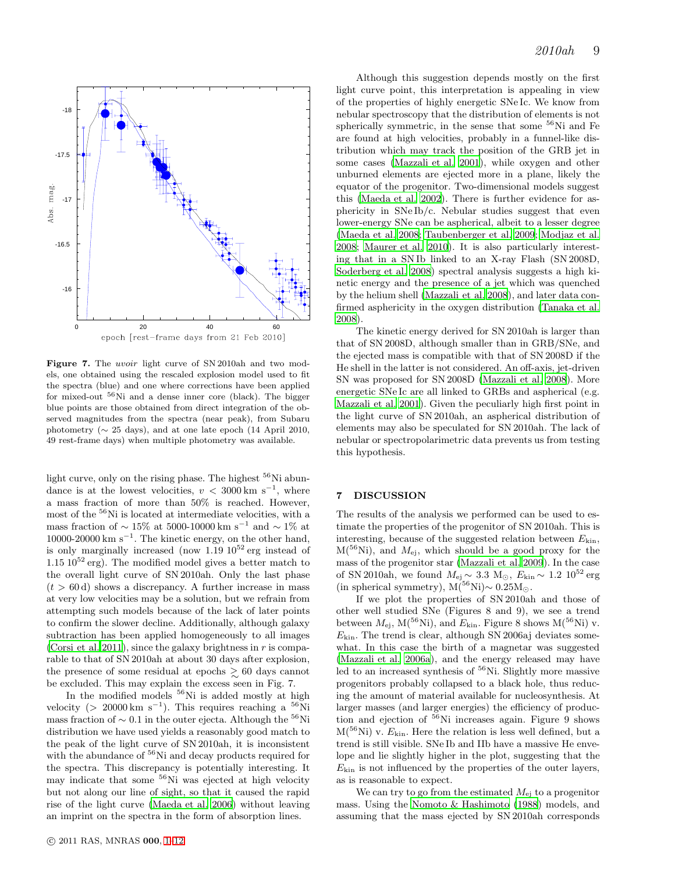

Figure 7. The *uvoir* light curve of SN 2010ah and two models, one obtained using the rescaled explosion model used to fit the spectra (blue) and one where corrections have been applied for mixed-out <sup>56</sup>Ni and a dense inner core (black). The bigger blue points are those obtained from direct integration of the observed magnitudes from the spectra (near peak), from Subaru photometry ( $\sim$  25 days), and at one late epoch (14 April 2010, 49 rest-frame days) when multiple photometry was available.

light curve, only on the rising phase. The highest  $56$ Ni abundance is at the lowest velocities,  $v < 3000 \text{ km s}^{-1}$ , where a mass fraction of more than 50% is reached. However, most of the <sup>56</sup>Ni is located at intermediate velocities, with a mass fraction of  $\sim 15\%$  at 5000-10000 km s<sup>-1</sup> and  $\sim 1\%$  at 10000-20000 km  $s^{-1}$ . The kinetic energy, on the other hand, is only marginally increased (now  $1.19 \times 10^{52}$  erg instead of  $1.15 \times 10^{52}$  erg). The modified model gives a better match to the overall light curve of SN 2010ah. Only the last phase  $(t > 60 d)$  shows a discrepancy. A further increase in mass at very low velocities may be a solution, but we refrain from attempting such models because of the lack of later points to confirm the slower decline. Additionally, although galaxy subtraction has been applied homogeneously to all images [\(Corsi et al. 2011\)](#page-11-33), since the galaxy brightness in  $r$  is comparable to that of SN 2010ah at about 30 days after explosion, the presence of some residual at epochs  $\gtrsim 60$  days cannot be excluded. This may explain the excess seen in Fig. 7.

In the modified models  $56$ Ni is added mostly at high velocity (> 20000 km s<sup>-1</sup>). This requires reaching a <sup>56</sup>Ni mass fraction of  $\sim 0.1$  in the outer ejecta. Although the <sup>56</sup>Ni distribution we have used yields a reasonably good match to the peak of the light curve of SN 2010ah, it is inconsistent with the abundance of <sup>56</sup>Ni and decay products required for the spectra. This discrepancy is potentially interesting. It may indicate that some <sup>56</sup>Ni was ejected at high velocity but not along our line of sight, so that it caused the rapid rise of the light curve [\(Maeda et al. 2006\)](#page-11-44) without leaving an imprint on the spectra in the form of absorption lines.

Although this suggestion depends mostly on the first light curve point, this interpretation is appealing in view of the properties of highly energetic SNe Ic. We know from nebular spectroscopy that the distribution of elements is not spherically symmetric, in the sense that some  ${}^{56}$ Ni and Fe are found at high velocities, probably in a funnel-like distribution which may track the position of the GRB jet in some cases [\(Mazzali et al. 2001](#page-11-51)), while oxygen and other unburned elements are ejected more in a plane, likely the equator of the progenitor. Two-dimensional models suggest this [\(Maeda et al. 2002](#page-11-43)). There is further evidence for asphericity in SNe Ib/c. Nebular studies suggest that even lower-energy SNe can be aspherical, albeit to a lesser degree [\(Maeda et al. 2008](#page-11-52); [Taubenberger et al. 2009](#page-12-29); [Modjaz et al.](#page-12-4) [2008](#page-12-4); [Maurer et al. 2010\)](#page-11-53). It is also particularly interesting that in a SN Ib linked to an X-ray Flash (SN 2008D, [Soderberg et al. 2008](#page-12-2)) spectral analysis suggests a high kinetic energy and the presence of a jet which was quenched by the helium shell [\(Mazzali et al. 2008\)](#page-12-3), and later data confirmed asphericity in the oxygen distribution [\(Tanaka et al.](#page-12-16) [2008](#page-12-16)).

The kinetic energy derived for SN 2010ah is larger than that of SN 2008D, although smaller than in GRB/SNe, and the ejected mass is compatible with that of SN 2008D if the He shell in the latter is not considered. An off-axis, jet-driven SN was proposed for SN 2008D [\(Mazzali et al. 2008](#page-12-3)). More energetic SNe Ic are all linked to GRBs and aspherical (e.g. [Mazzali et al. 2001\)](#page-11-51). Given the peculiarly high first point in the light curve of SN 2010ah, an aspherical distribution of elements may also be speculated for SN 2010ah. The lack of nebular or spectropolarimetric data prevents us from testing this hypothesis.

## 7 DISCUSSION

The results of the analysis we performed can be used to estimate the properties of the progenitor of SN 2010ah. This is interesting, because of the suggested relation between  $E_{\text{kin}}$ ,  $M(^{56}Ni)$ , and  $M_{ej}$ , which should be a good proxy for the mass of the progenitor star [\(Mazzali et al. 2009](#page-12-28)). In the case of SN 2010ah, we found  $M_{\rm ej} \sim 3.3 \, {\rm\,M_\odot},\; E_{\rm kin} \sim 1.2 \, \, 10^{52} \, {\rm erg}$ (in spherical symmetry),  $M(^{56}Ni) \sim 0.25 M_{\odot}$ .

If we plot the properties of SN 2010ah and those of other well studied SNe (Figures 8 and 9), we see a trend between  $M_{\rm ej}$ , M(<sup>56</sup>Ni), and  $E_{\rm kin}$ . Figure 8 shows M(<sup>56</sup>Ni) v.  $E_{\text{kin}}$ . The trend is clear, although SN 2006aj deviates somewhat. In this case the birth of a magnetar was suggested [\(Mazzali et al. 2006a](#page-11-25)), and the energy released may have led to an increased synthesis of  ${}^{56}$ Ni. Slightly more massive progenitors probably collapsed to a black hole, thus reducing the amount of material available for nucleosynthesis. At larger masses (and larger energies) the efficiency of production and ejection of  $56$ Ni increases again. Figure 9 shows  $M<sup>56</sup>Ni)$  v.  $E_{kin}$ . Here the relation is less well defined, but a trend is still visible. SNe Ib and IIb have a massive He envelope and lie slightly higher in the plot, suggesting that the  $E_{\text{kin}}$  is not influenced by the properties of the outer layers, as is reasonable to expect.

We can try to go from the estimated  $M_{\rm ei}$  to a progenitor mass. Using the [Nomoto & Hashimoto \(1988](#page-12-30)) models, and assuming that the mass ejected by SN 2010ah corresponds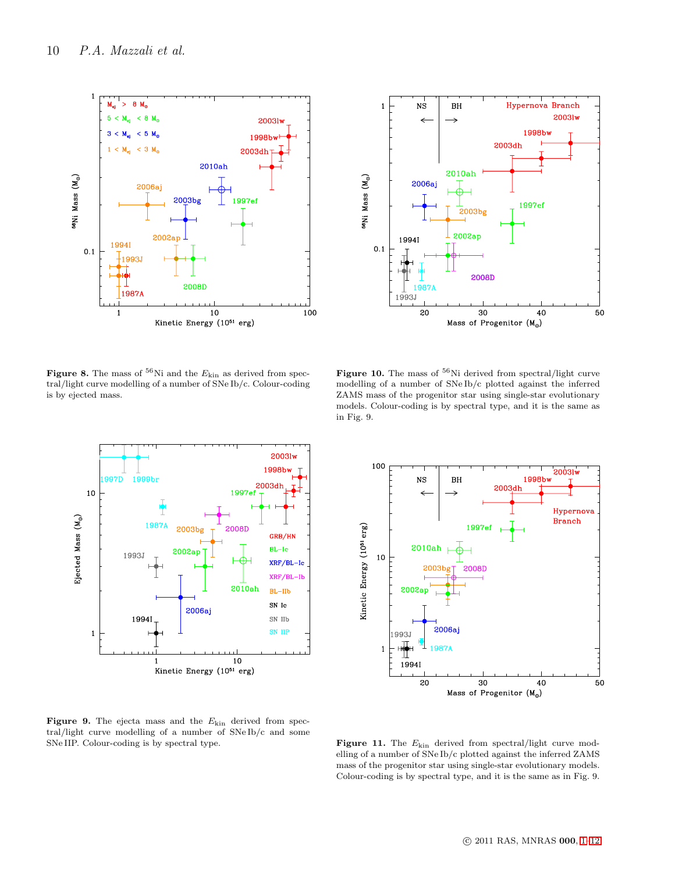



Figure 8. The mass of  $\rm ^{56}Ni$  and the  $E_{\rm kin}$  as derived from spectral/light curve modelling of a number of SNe Ib/c. Colour-coding is by ejected mass.



Figure 10. The mass of  $\rm ^{56}Ni$  derived from spectral/light curve modelling of a number of SNe Ib/c plotted against the inferred ZAMS mass of the progenitor star using single-star evolutionary models. Colour-coding is by spectral type, and it is the same as in Fig. 9.



Figure 9. The ejecta mass and the  $E_{\text{kin}}$  derived from spectral/light curve modelling of a number of SNe Ib/c and some SNe IIP. Colour-coding is by spectral type.

**Figure 11.** The  $E_{\text{kin}}$  derived from spectral/light curve modelling of a number of SNe Ib/c plotted against the inferred ZAMS mass of the progenitor star using single-star evolutionary models. Colour-coding is by spectral type, and it is the same as in Fig. 9.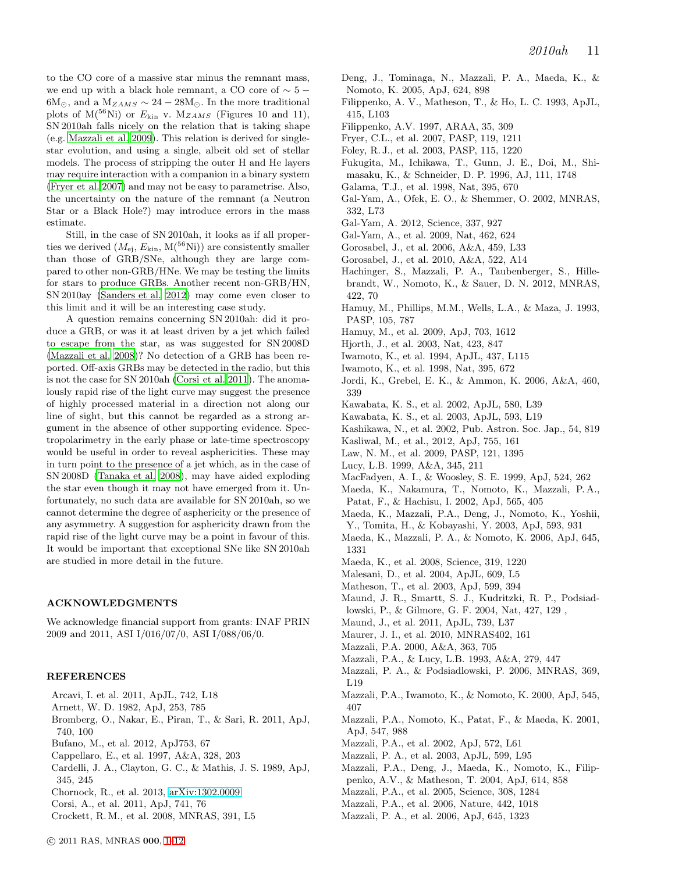to the CO core of a massive star minus the remnant mass, we end up with a black hole remnant, a CO core of  $\sim 5 6M_{\odot}$ , and a  $M_{ZAMS} \sim 24 - 28M_{\odot}$ . In the more traditional plots of  $M(^{56}Ni)$  or  $E_{kin}$  v.  $M_{ZAMS}$  (Figures 10 and 11), SN 2010ah falls nicely on the relation that is taking shape (e.g. [Mazzali et al. 2009\)](#page-12-28). This relation is derived for singlestar evolution, and using a single, albeit old set of stellar models. The process of stripping the outer H and He layers may require interaction with a companion in a binary system [\(Fryer et al. 2007\)](#page-11-54) and may not be easy to parametrise. Also, the uncertainty on the nature of the remnant (a Neutron Star or a Black Hole?) may introduce errors in the mass estimate.

Still, in the case of SN 2010ah, it looks as if all properties we derived  $(M_{\rm ei}, E_{\rm kin}, M^{56}\text{Ni})$  are consistently smaller than those of GRB/SNe, although they are large compared to other non-GRB/HNe. We may be testing the limits for stars to produce GRBs. Another recent non-GRB/HN, SN 2010ay [\(Sanders et al. 2012](#page-12-31)) may come even closer to this limit and it will be an interesting case study.

A question remains concerning SN 2010ah: did it produce a GRB, or was it at least driven by a jet which failed to escape from the star, as was suggested for SN 2008D [\(Mazzali et al. 2008](#page-12-3))? No detection of a GRB has been reported. Off-axis GRBs may be detected in the radio, but this is not the case for SN 2010ah [\(Corsi et al. 2011](#page-11-33)). The anomalously rapid rise of the light curve may suggest the presence of highly processed material in a direction not along our line of sight, but this cannot be regarded as a strong argument in the absence of other supporting evidence. Spectropolarimetry in the early phase or late-time spectroscopy would be useful in order to reveal asphericities. These may in turn point to the presence of a jet which, as in the case of SN 2008D [\(Tanaka et al. 2008\)](#page-12-16), may have aided exploding the star even though it may not have emerged from it. Unfortunately, no such data are available for SN 2010ah, so we cannot determine the degree of asphericity or the presence of any asymmetry. A suggestion for asphericity drawn from the rapid rise of the light curve may be a point in favour of this. It would be important that exceptional SNe like SN 2010ah are studied in more detail in the future.

#### ACKNOWLEDGMENTS

We acknowledge financial support from grants: INAF PRIN 2009 and 2011, ASI I/016/07/0, ASI I/088/06/0.

#### **REFERENCES**

- <span id="page-11-14"></span>Arcavi, I. et al. 2011, ApJL, 742, L18
- <span id="page-11-42"></span>Arnett, W. D. 1982, ApJ, 253, 785
- <span id="page-11-21"></span>Bromberg, O., Nakar, E., Piran, T., & Sari, R. 2011, ApJ, 740, 100
- <span id="page-11-35"></span>Bufano, M., et al. 2012, ApJ753, 67
- <span id="page-11-49"></span>Cappellaro, E., et al. 1997, A&A, 328, 203
- <span id="page-11-40"></span>Cardelli, J. A., Clayton, G. C., & Mathis, J. S. 1989, ApJ, 345, 245
- <span id="page-11-18"></span>Chornock, R., et al. 2013, [arXiv:1302.0009](http://arxiv.org/abs/1302.0009)
- <span id="page-11-33"></span>Corsi, A., et al. 2011, ApJ, 741, 76
- <span id="page-11-13"></span>Crockett, R.M., et al. 2008, MNRAS, 391, L5
- <span id="page-11-41"></span>Deng, J., Tominaga, N., Mazzali, P. A., Maeda, K., & Nomoto, K. 2005, ApJ, 624, 898
- <span id="page-11-10"></span>Filippenko, A. V., Matheson, T., & Ho, L. C. 1993, ApJL, 415, L103
- <span id="page-11-0"></span>Filippenko, A.V. 1997, ARAA, 35, 309
- <span id="page-11-54"></span>Fryer, C.L., et al. 2007, PASP, 119, 1211
- <span id="page-11-3"></span>Foley, R. J., et al. 2003, PASP, 115, 1220
- <span id="page-11-38"></span>Fukugita, M., Ichikawa, T., Gunn, J. E., Doi, M., Shimasaku, K., & Schneider, D. P. 1996, AJ, 111, 1748
- <span id="page-11-5"></span>Galama, T.J., et al. 1998, Nat, 395, 670
- <span id="page-11-4"></span>Gal-Yam, A., Ofek, E. O., & Shemmer, O. 2002, MNRAS, 332, L73
- <span id="page-11-17"></span>Gal-Yam, A. 2012, Science, 337, 927
- <span id="page-11-16"></span>Gal-Yam, A., et al. 2009, Nat, 462, 624
- <span id="page-11-31"></span>Gorosabel, J., et al. 2006, A&A, 459, L33
- <span id="page-11-32"></span>Gorosabel, J., et al. 2010, A&A, 522, A14
- <span id="page-11-9"></span>Hachinger, S., Mazzali, P. A., Taubenberger, S., Hillebrandt, W., Nomoto, K., & Sauer, D. N. 2012, MNRAS, 422, 70
- <span id="page-11-39"></span>Hamuy, M., Phillips, M.M., Wells, L.A., & Maza, J. 1993, PASP, 105, 787
- <span id="page-11-11"></span>Hamuy, M., et al. 2009, ApJ, 703, 1612
- <span id="page-11-6"></span>Hjorth, J., et al. 2003, Nat, 423, 847
- <span id="page-11-1"></span>Iwamoto, K., et al. 1994, ApJL, 437, L115
- <span id="page-11-22"></span>Iwamoto, K., et al. 1998, Nat, 395, 672
- <span id="page-11-37"></span>Jordi, K., Grebel, E. K., & Ammon, K. 2006, A&A, 460, 339
- <span id="page-11-29"></span>Kawabata, K. S., et al. 2002, ApJL, 580, L39
- <span id="page-11-30"></span>Kawabata, K. S., et al. 2003, ApJL, 593, L19
- <span id="page-11-36"></span>Kashikawa, N., et al. 2002, Pub. Astron. Soc. Jap., 54, 819
- <span id="page-11-19"></span>Kasliwal, M., et al., 2012, ApJ, 755, 161
- <span id="page-11-34"></span>Law, N. M., et al. 2009, PASP, 121, 1395
- <span id="page-11-47"></span>Lucy, L.B. 1999, A&A, 345, 211
- <span id="page-11-20"></span>MacFadyen, A. I., & Woosley, S. E. 1999, ApJ, 524, 262
- <span id="page-11-43"></span>Maeda, K., Nakamura, T., Nomoto, K., Mazzali, P. A., Patat, F., & Hachisu, I. 2002, ApJ, 565, 405
- <span id="page-11-45"></span>Maeda, K., Mazzali, P.A., Deng, J., Nomoto, K., Yoshii,
- Y., Tomita, H., & Kobayashi, Y. 2003, ApJ, 593, 931
- <span id="page-11-44"></span>Maeda, K., Mazzali, P. A., & Nomoto, K. 2006, ApJ, 645, 1331
- <span id="page-11-52"></span>Maeda, K., et al. 2008, Science, 319, 1220
- <span id="page-11-8"></span>Malesani, D., et al. 2004, ApJL, 609, L5
- <span id="page-11-7"></span>Matheson, T., et al. 2003, ApJ, 599, 394
- <span id="page-11-12"></span>Maund, J. R., Smartt, S. J., Kudritzki, R. P., Podsiadlowski, P., & Gilmore, G. F. 2004, Nat, 427, 129 ,
- <span id="page-11-15"></span>Maund, J., et al. 2011, ApJL, 739, L37
- <span id="page-11-53"></span>Maurer, J. I., et al. 2010, MNRAS402, 161
- <span id="page-11-48"></span>Mazzali, P.A. 2000, A&A, 363, 705
- 
- <span id="page-11-46"></span>Mazzali, P.A., & Lucy, L.B. 1993, A&A, 279, 447
- <span id="page-11-50"></span>Mazzali, P. A., & Podsiadlowski, P. 2006, MNRAS, 369, L19
- <span id="page-11-26"></span>Mazzali, P.A., Iwamoto, K., & Nomoto, K. 2000, ApJ, 545, 407
- <span id="page-11-51"></span>Mazzali, P.A., Nomoto, K., Patat, F., & Maeda, K. 2001, ApJ, 547, 988
- <span id="page-11-2"></span>Mazzali, P.A., et al. 2002, ApJ, 572, L61
- <span id="page-11-23"></span>Mazzali, P. A., et al. 2003, ApJL, 599, L95
- <span id="page-11-27"></span>Mazzali, P.A., Deng, J., Maeda, K., Nomoto, K., Filip-
- penko, A.V., & Matheson, T. 2004, ApJ, 614, 858
- <span id="page-11-28"></span>Mazzali, P.A., et al. 2005, Science, 308, 1284
- <span id="page-11-25"></span>Mazzali, P.A., et al. 2006, Nature, 442, 1018
- <span id="page-11-24"></span>Mazzali, P. A., et al. 2006, ApJ, 645, 1323